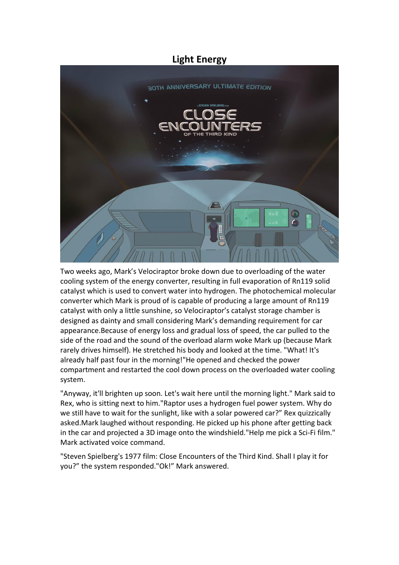# **Light Energy**



Two weeks ago, Mark's Velociraptor broke down due to overloading of the water cooling system of the energy converter, resulting in full evaporation of Rn119 solid catalyst which is used to convert water into hydrogen. The photochemical molecular converter which Mark is proud of is capable of producing a large amount of Rn119 catalyst with only a little sunshine, so Velociraptor's catalyst storage chamber is designed as dainty and small considering Mark's demanding requirement for car appearance.Because of energy loss and gradual loss of speed, the car pulled to the side of the road and the sound of the overload alarm woke Mark up (because Mark rarely drives himself). He stretched his body and looked at the time. "What! It's already half past four in the morning!"He opened and checked the power compartment and restarted the cool down process on the overloaded water cooling system.

"Anyway, it'll brighten up soon. Let's wait here until the morning light." Mark said to Rex, who is sitting next to him."Raptor uses a hydrogen fuel power system. Why do we still have to wait for the sunlight, like with a solar powered car?" Rex quizzically asked.Mark laughed without responding. He picked up his phone after getting back in the car and projected a 3D image onto the windshield."Help me pick a Sci-Fi film." Mark activated voice command.

"Steven Spielberg's 1977 film: Close Encounters of the Third Kind. Shall I play it for you?" the system responded."Ok!" Mark answered.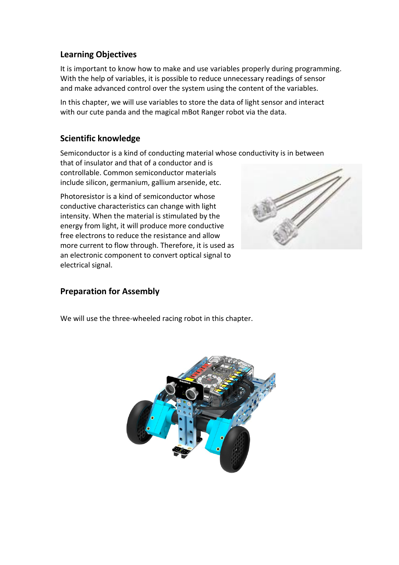## **Learning Objectives**

It is important to know how to make and use variables properly during programming. With the help of variables, it is possible to reduce unnecessary readings of sensor and make advanced control over the system using the content of the variables.

In this chapter, we will use variables to store the data of light sensor and interact with our cute panda and the magical mBot Ranger robot via the data.

### **Scientific knowledge**

Semiconductor is a kind of conducting material whose conductivity is in between

that of insulator and that of a conductor and is controllable. Common semiconductor materials include silicon, germanium, gallium arsenide, etc.

Photoresistor is a kind of semiconductor whose conductive characteristics can change with light intensity. When the material is stimulated by the energy from light, it will produce more conductive free electrons to reduce the resistance and allow more current to flow through. Therefore, it is used as an electronic component to convert optical signal to electrical signal.



#### **Preparation for Assembly**

We will use the three-wheeled racing robot in this chapter.

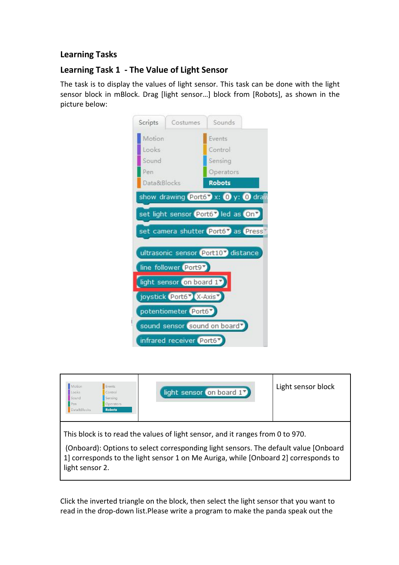# **Learning Tasks**

# **Learning Task 1 - The Value of Light Sensor**

The task is to display the values of light sensor. This task can be done with the light sensor block in mBlock. Drag [light sensor…] block from [Robots], as shown in the picture below:





(Onboard): Options to select corresponding light sensors. The default value [Onboard 1] corresponds to the light sensor 1 on Me Auriga, while [Onboard 2] corresponds to light sensor 2.

Click the inverted triangle on the block, then select the light sensor that you want to read in the drop-down list.Please write a program to make the panda speak out the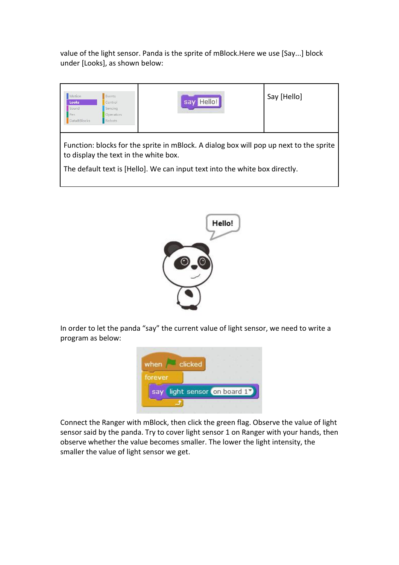value of the light sensor. Panda is the sprite of mBlock.Here we use [Say...] block under [Looks], as shown below:





In order to let the panda "say" the current value of light sensor, we need to write a program as below:



Connect the Ranger with mBlock, then click the green flag. Observe the value of light sensor said by the panda. Try to cover light sensor 1 on Ranger with your hands, then observe whether the value becomes smaller. The lower the light intensity, the smaller the value of light sensor we get.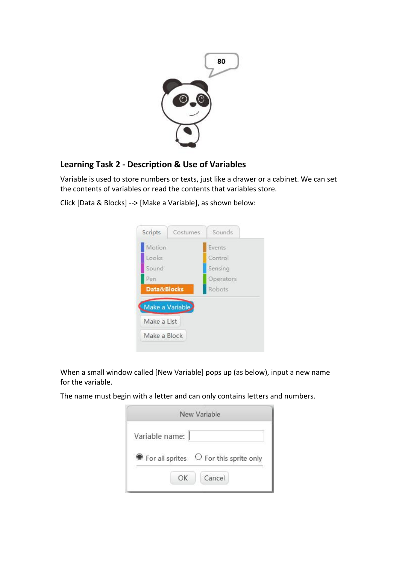

# **Learning Task 2 - Description & Use of Variables**

Variable is used to store numbers or texts, just like a drawer or a cabinet. We can set the contents of variables or read the contents that variables store.

Click [Data & Blocks] --> [Make a Variable], as shown below:



When a small window called [New Variable] pops up (as below), input a new name for the variable.

The name must begin with a letter and can only contains letters and numbers.

| New Variable                                           |
|--------------------------------------------------------|
|                                                        |
| $\bullet$ For all sprites $\circ$ For this sprite only |
| Cancel                                                 |
|                                                        |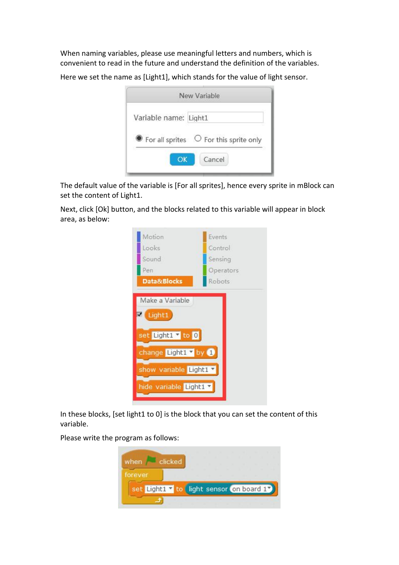When naming variables, please use meaningful letters and numbers, which is convenient to read in the future and understand the definition of the variables.

Here we set the name as [Light1], which stands for the value of light sensor.

|                       | New Variable                                           |
|-----------------------|--------------------------------------------------------|
| Variable name: Light1 |                                                        |
|                       | $\bullet$ For all sprites $\circ$ For this sprite only |
| <b>OK</b>             | Cancel                                                 |
|                       |                                                        |

The default value of the variable is [For all sprites], hence every sprite in mBlock can set the content of Light1.

Next, click [Ok] button, and the blocks related to this variable will appear in block area, as below:

| Motion                      | Events    |
|-----------------------------|-----------|
| Looks                       | Control   |
| Sound                       | Sensing   |
| Pen                         | Operators |
| Data&Blocks                 | Robots    |
| Light1<br>set Light1 v to 0 |           |
| change Light1 v by 1        |           |
| show variable Light1 v      |           |
| hide variable Light1 v      |           |

In these blocks, [set light1 to 0] is the block that you can set the content of this variable.

Please write the program as follows:

| when                                      | clicked |  |  |  |
|-------------------------------------------|---------|--|--|--|
| forever                                   |         |  |  |  |
| set Light1 v to light sensor on board 1 V |         |  |  |  |
|                                           |         |  |  |  |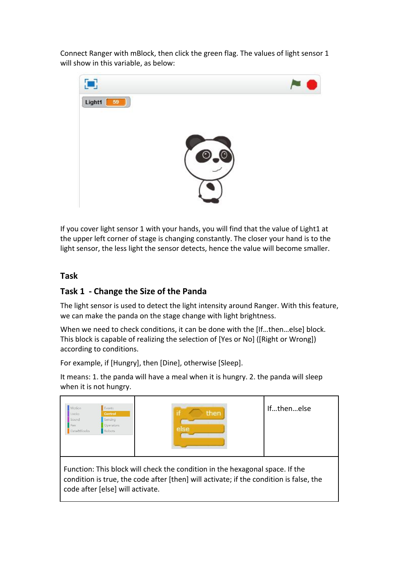Connect Ranger with mBlock, then click the green flag. The values of light sensor 1 will show in this variable, as below:



If you cover light sensor 1 with your hands, you will find that the value of Light1 at the upper left corner of stage is changing constantly. The closer your hand is to the light sensor, the less light the sensor detects, hence the value will become smaller.

# **Task**

# **Task 1 - Change the Size of the Panda**

The light sensor is used to detect the light intensity around Ranger. With this feature, we can make the panda on the stage change with light brightness.

When we need to check conditions, it can be done with the [If…then…else] block. This block is capable of realizing the selection of [Yes or No] ([Right or Wrong]) according to conditions.

For example, if [Hungry], then [Dine], otherwise [Sleep].

It means: 1. the panda will have a meal when it is hungry. 2. the panda will sleep when it is not hungry.



Function: This block will check the condition in the hexagonal space. If the condition is true, the code after [then] will activate; if the condition is false, the code after [else] will activate.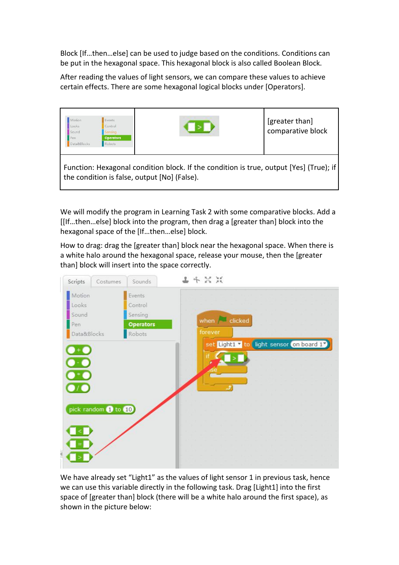Block [If…then…else] can be used to judge based on the conditions.Conditions can be put in the hexagonal space. This hexagonal block is also called Boolean Block.

After reading the values of light sensors, we can compare these values to achieve certain effects. There are some hexagonal logical blocks under [Operators].



We will modify the program in Learning Task 2 with some comparative blocks. Add a [[If…then…else] block into the program, then drag a [greater than] block into the hexagonal space of the [If…then…else] block.

How to drag: drag the [greater than] block near the hexagonal space. When there is a white halo around the hexagonal space, release your mouse, then the [greater than] block will insert into the space correctly.



We have already set "Light1" as the values of light sensor 1 in previous task, hence we can use this variable directly in the following task. Drag [Light1] into the first space of [greater than] block (there will be a white halo around the first space), as shown in the picture below: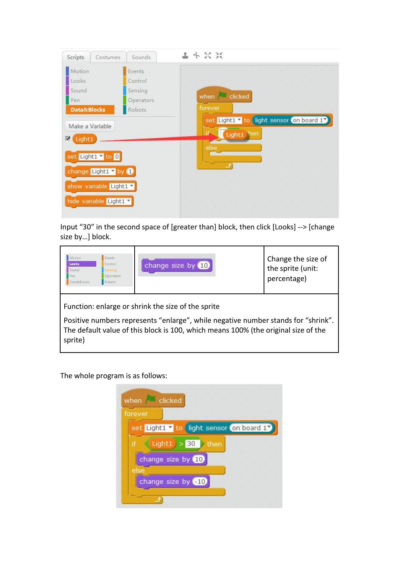| Scripts                                        | Costumes                                                     | Sounds                                              | 上卡父其                                                           |
|------------------------------------------------|--------------------------------------------------------------|-----------------------------------------------------|----------------------------------------------------------------|
| Motion<br>Looks<br>Sound<br>Pen<br>Data&Blocks |                                                              | Events<br>Control<br>Sensing<br>Operators<br>Robots | when clicked<br>forever                                        |
| $\nabla$ Light1<br>show variable Light1 v      | Make a Variable<br>set Light1 v to 0<br>change Light1 V by O |                                                     | set Light1 v to light sensor on board 17<br>Light1 hen<br>else |

Input "30" in the second space of [greater than] block, then click [Looks] --> [change size by…] block.

| Motion<br>Looks<br>Sound<br>Pen<br>Data&Blocks | Events<br>Control<br>densing<br>Operators<br>Robots | change size by 10                                               | Change the size of<br>the sprite (unit:<br>percentage) |
|------------------------------------------------|-----------------------------------------------------|-----------------------------------------------------------------|--------------------------------------------------------|
| $\cdots$<br>$\sim$                             |                                                     | Function: enlarge or shrink the size of the sprite<br>$\cdot$ . |                                                        |

Positive numbers represents "enlarge", while negative number stands for "shrink". The default value of this block is 100, which means 100% (the original size of the sprite)

The whole program is as follows:×

| set Light1 v to light sensor on board 1 V<br>Light $1 > 30$<br>$\lambda$ then<br>ìf<br>change size by 10<br>else | forever |  |  |  |  |
|------------------------------------------------------------------------------------------------------------------|---------|--|--|--|--|
|                                                                                                                  |         |  |  |  |  |
|                                                                                                                  |         |  |  |  |  |
|                                                                                                                  |         |  |  |  |  |
|                                                                                                                  |         |  |  |  |  |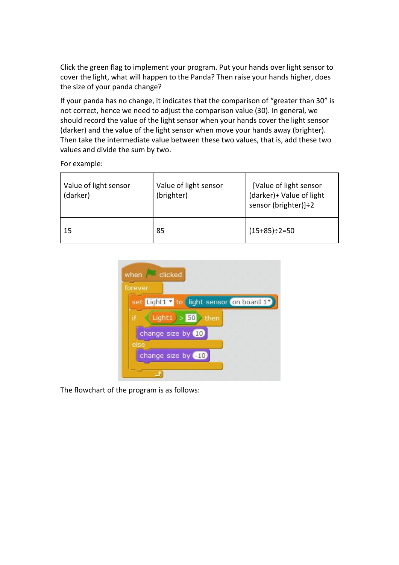Click the green flag to implement your program. Put your hands over light sensor to cover the light, what will happen to the Panda? Then raise your hands higher, does the size of your panda change?

If your panda has no change, it indicates that the comparison of "greater than 30" is not correct, hence we need to adjust the comparison value (30). In general, we should record the value of the light sensor when your hands cover the light sensor (darker) and the value of the light sensor when move your hands away (brighter). Then take the intermediate value between these two values, that is, add these two values and divide the sum by two.

For example:

|    | Value of light sensor<br>(darker) | Value of light sensor<br>(brighter) | [Value of light sensor<br>(darker)+ Value of light<br>sensor (brighter)]:2 |
|----|-----------------------------------|-------------------------------------|----------------------------------------------------------------------------|
| 15 |                                   | 85                                  | $(15+85)\div 2=50$                                                         |



The flowchart of the program is as follows: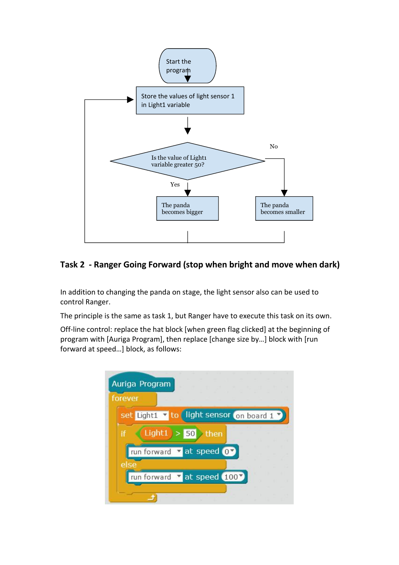

# **Task 2 - Ranger Going Forward (stop when bright and move when dark)**

In addition to changing the panda on stage, the light sensor also can be used to control Ranger.

The principle is the same as task 1, but Ranger have to execute this task on its own.

Off-line control: replace the hat block [when green flag clicked] at the beginning of program with [Auriga Program], then replace [change size by…] block with [run forward at speed…] block, as follows:

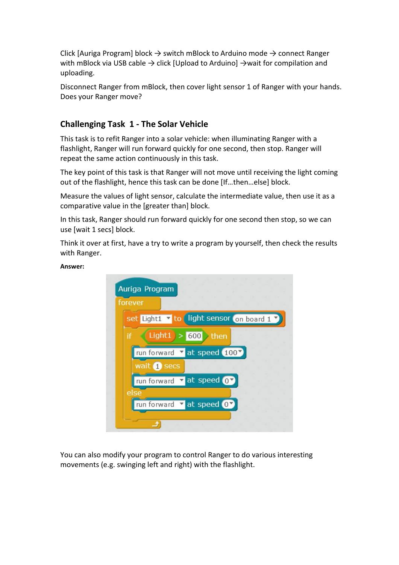Click [Auriga Program] block  $\rightarrow$  switch mBlock to Arduino mode  $\rightarrow$  connect Ranger with mBlock via USB cable  $\rightarrow$  click [Upload to Arduino]  $\rightarrow$  wait for compilation and uploading.

Disconnect Ranger from mBlock, then cover light sensor 1 of Ranger with your hands. Does your Ranger move?

### **Challenging Task 1 - The Solar Vehicle**

This task is to refit Ranger into a solar vehicle: when illuminating Ranger with a flashlight, Ranger will run forward quickly for one second, then stop. Ranger will repeat the same action continuously in this task.

The key point of this task is that Ranger will not move until receiving the light coming out of the flashlight, hence this task can be done [If…then…else] block.

Measure the values of light sensor, calculate the intermediate value, then use it as a comparative value in the [greater than] block.

In this task, Ranger should run forward quickly for one second then stop, so we can

use [wait 1 secs] block.<br>Think it over at first, have a try to write a program by yourself, then check the results with Ranger.

**Answer:**



You can also modify your program to control Ranger to do various interesting movements (e.g. swinging left and right) with the flashlight.